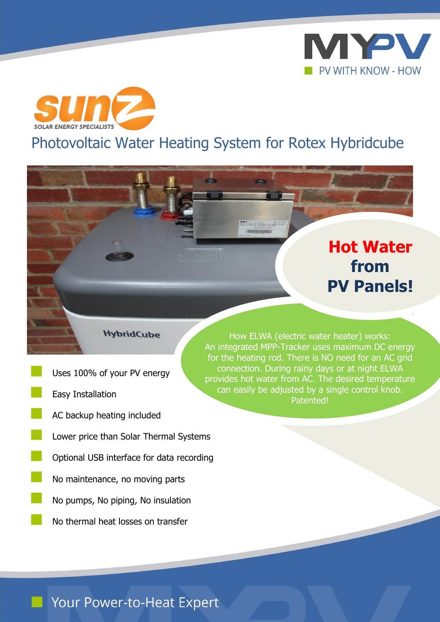



# Photovoltaic Water Heating System for Rotex Hybridcube

 $2x = 7x + 1$ **IMANIFEMILIAN** 

# **Hot Water from PV Panels!**

#### **HybridCube**

- Uses 100% of your PV energy
- Easy Installation
- AC backup heating included
- Lower price than Solar Thermal Systems
- Optional USB interface for data recording
- No maintenance, no moving parts
- No pumps, No piping, No insulation
	- No thermal heat losses on transfer

How ELWA (electric water heater) works: An integrated MPP-Tracker uses maximum DC energy for the heating rod. There is NO need for an AC grid connection. During rainy days or at night ELWA provides hot water from AC. The desired temperature can easily be adjusted by a single control knob. Patented!

## Your Power-to-Heat Expert